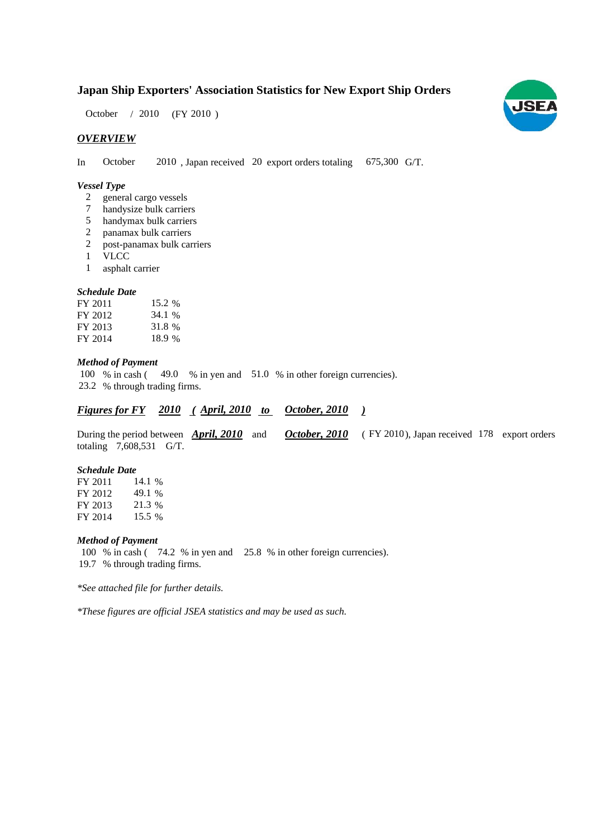# **Japan Ship Exporters' Association Statistics for New Export Ship Orders**

 $(FY 2010)$ October / 2010

# *OVERVIEW*

In October 2010, Japan received 20 export orders totaling 675,300 G/T.

# *Vessel Type*

- general cargo vessels 2
- handysize bulk carriers 7
- handymax bulk carriers 5
- panamax bulk carriers 2
- post-panamax bulk carriers 2
- VLCC 1
- asphalt carrier 1

### *Schedule Date*

| FY 2011 | 15.2 % |
|---------|--------|
| FY 2012 | 34.1 % |
| FY 2013 | 31.8 % |
| FY 2014 | 18.9 % |

### *Method of Payment*

100 % in cash (49.0 % in yen and 51.0 % in other foreign currencies). 23.2 % through trading firms.

#### *<u>Figures for FY 2010 (April, 2010 to October, 2010)</u> October, 2010*

During the period between *April, 2010* and *October, 2010* (FY 2010), Japan received 178 export orders totaling  $7,608,531$  G/T. (FY 2010), Japan received 178 export orders

#### *Schedule Date*

FY 2011 FY 2012 FY 2013 FY 2014 21.3 15.5 % 14.1 % 49.1 %

#### *Method of Payment*

100 % in cash (74.2 % in yen and 25.8 % in other foreign currencies). % through trading firms. 19.7

*\*See attached file for further details.*

*\*These figures are official JSEA statistics and may be used as such.*

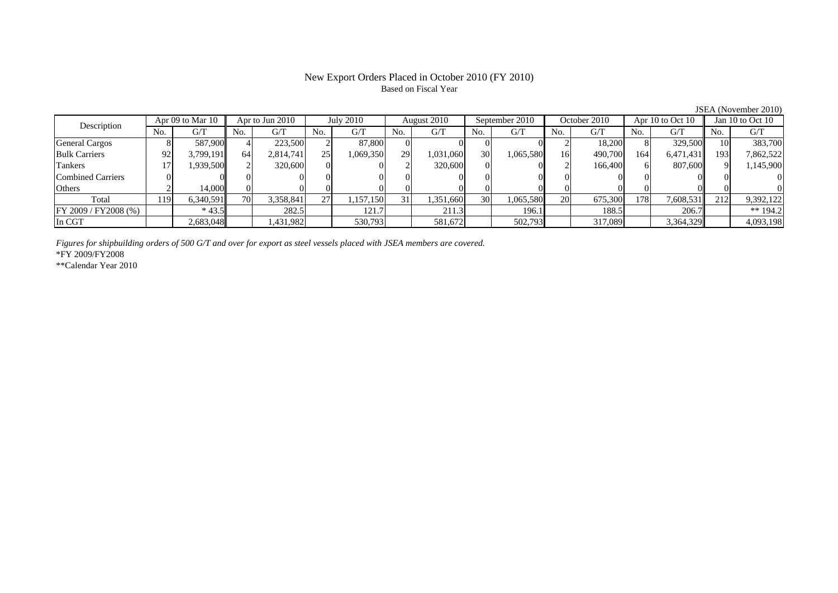# New Export Orders Placed in October 2010 (FY 2010) Based on Fiscal Year

JSEA (November 2010)

| Description              |      | Apr 09 to Mar 10 |                 | Apr to Jun 2010 |     | July 2010 |     | August 2010 |     | September 2010 |     | October 2010 |     | Apr $10$ to Oct $10$ |     | Jan $10$ to Oct $10$ |
|--------------------------|------|------------------|-----------------|-----------------|-----|-----------|-----|-------------|-----|----------------|-----|--------------|-----|----------------------|-----|----------------------|
|                          | No.  | G/T              | No.             | G/T             | No. | G/T       | No. | G/T         | No. | G/T            | No. | G/T          | No. | G/T                  | No. | G/T                  |
| <b>General Cargos</b>    |      | 587,900          |                 | 223,500         |     | 87.800    |     |             |     |                |     | 18,200       |     | 329,500              |     | 383,700              |
| <b>Bulk Carriers</b>     | 92   | 3,799,191        | 64              | 2,814,741       | 25  | 1,069,350 | 29  | 1,031,060   | 30  | 1,065,580      | 16  | 490,700      | 164 | 6,471,431            | 193 | 7,862,522            |
| Tankers                  |      | .939,500         |                 | 320,600         |     |           |     | 320,600     |     |                |     | 166,400      |     | 807,600              |     | 1,145,900            |
| <b>Combined Carriers</b> |      |                  |                 |                 |     |           |     |             |     |                |     |              |     |                      |     |                      |
| <b>Others</b>            |      | 14,000           |                 |                 |     |           |     |             |     |                |     |              |     |                      |     |                      |
| Total                    | 1191 | 6,340,591        | 70 <sub>1</sub> | 3,358,841       | 27  | 1,157,150 | 31  | .351,660    | 30  | 1,065,580      | 20  | 675,300      | 178 | 7,608,531            | 212 | 9,392,122            |
| FY 2009 / FY 2008 (%)    |      | $*43.5$          |                 | 282.5           |     | 121.7     |     | 211.3       |     | 196.1          |     | 188.5        |     | 206.7                |     | ** $194.2$           |
| In CGT                   |      | 2,683,048        |                 | ,431,982        |     | 530,793   |     | 581,672     |     | 502,793        |     | 317,089      |     | 3,364,329            |     | 4,093,198            |

*Figures for shipbuilding orders of 500 G/T and over for export as steel vessels placed with JSEA members are covered.*

\*FY 2009/FY2008

\*\*Calendar Year 2010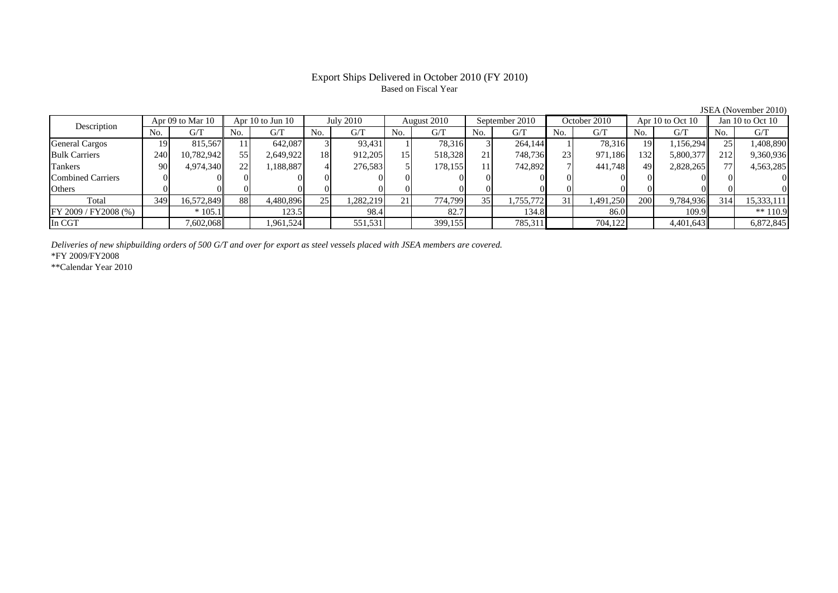# Export Ships Delivered in October 2010 (FY 2010) Based on Fiscal Year

JSEA (November 2010)

| Apr 09 to Mar 10<br>Description |     | <b>July 2010</b><br>Apr $10$ to Jun $10$ |     | August 2010 |     | September 2010 |     | October 2010 |                 | Apr 10 to Oct $10$ |     | Jan 10 to Oct 10 |     |            |     |            |
|---------------------------------|-----|------------------------------------------|-----|-------------|-----|----------------|-----|--------------|-----------------|--------------------|-----|------------------|-----|------------|-----|------------|
|                                 | No. | G/T                                      | No. | G/T         | No. | G/T            | No. | G/T          | No.             | G/T                | No. | G/T              | No. | G/T        | No. | G/T        |
| <b>General Cargos</b>           | 19. | 815.567                                  |     | 642,087     |     | 93,431         |     | 78,316       |                 | 264,144            |     | 78.316           | 19  | 1.156.2941 |     | .408,890   |
| <b>Bulk Carriers</b>            | 240 | 10,782,942                               | 55  | 2,649,922   | 18  | 912,205        |     | 518,328      | 21              | 748,736            | 23  | 971,186          | 132 | 5,800,377  | 212 | 9,360,936  |
| Tankers                         | 90  | 4,974,340                                | 22  | ,188,887    |     | 276,583        |     | 178,155      | 11              | 742,892            |     | 441.748          | 49  | 2,828,265  |     | 4,563,285  |
| <b>Combined Carriers</b>        |     |                                          |     |             |     |                |     |              |                 |                    |     |                  |     |            |     |            |
| Others                          |     |                                          |     |             |     |                |     | 01           |                 |                    |     |                  |     |            |     |            |
| Total                           | 349 | 16,572,849                               | 88  | 4,480,896   | 25  | 1,282,219      | 21  | 774,799      | 35 <sub>1</sub> | 1,755,772          | 31  | 1,491,250        | 200 | 9,784,936  | 314 | 15,333,111 |
| FY 2009 / FY 2008 (%)           |     | $*105.1$                                 |     | 123.5       |     | 98.4           |     | 82.7         |                 | 134.8              |     | 86.0             |     | 109.9      |     | $** 110.9$ |
| In CGT                          |     | 7,602,068                                |     | .961,524    |     | 551,531        |     | 399,155      |                 | 785,311            |     | 704,122          |     | 4,401,643  |     | 6,872,845  |

*Deliveries of new shipbuilding orders of 500 G/T and over for export as steel vessels placed with JSEA members are covered.*

\*FY 2009/FY2008

\*\*Calendar Year 2010